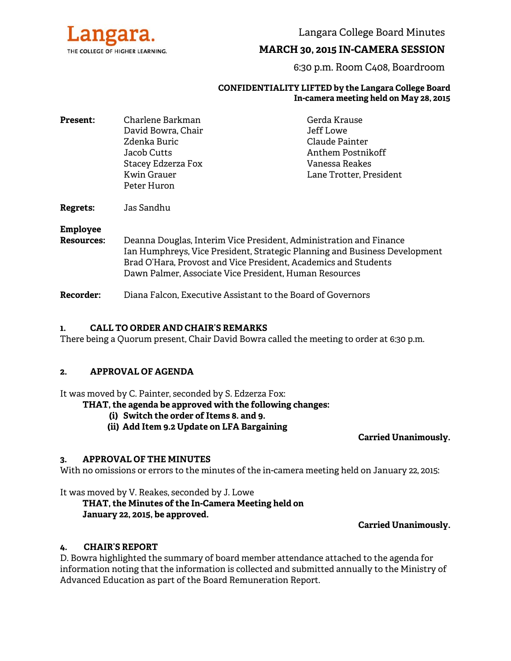

Langara College Board Minutes

## **MARCH 30, 2015 IN-CAMERA SESSION**

6:30 p.m. Room C408, Boardroom

#### **CONFIDENTIALITY LIFTED by the Langara College Board In-camera meeting held on May 28, 2015**

| <b>Present:</b> | Charlene Barkman                                                                                      | Gerda Krause                                                                                  |                   |                                                                                                                                                                                                                     |  |
|-----------------|-------------------------------------------------------------------------------------------------------|-----------------------------------------------------------------------------------------------|-------------------|---------------------------------------------------------------------------------------------------------------------------------------------------------------------------------------------------------------------|--|
|                 | David Bowra, Chair<br>Zdenka Buric<br>Jacob Cutts<br>Stacey Edzerza Fox<br>Kwin Grauer<br>Peter Huron | Jeff Lowe<br>Claude Painter<br>Anthem Postnikoff<br>Vanessa Reakes<br>Lane Trotter, President |                   |                                                                                                                                                                                                                     |  |
|                 |                                                                                                       |                                                                                               | Regrets:          | Jas Sandhu                                                                                                                                                                                                          |  |
|                 |                                                                                                       |                                                                                               | <b>Employee</b>   |                                                                                                                                                                                                                     |  |
|                 |                                                                                                       |                                                                                               | <b>Resources:</b> | Deanna Douglas, Interim Vice President, Administration and Finance<br>Ian Humphreys, Vice President, Strategic Planning and Business Development<br>Brad O'Hara, Provost and Vice President, Academics and Students |  |

Dawn Palmer, Associate Vice President, Human Resources

**Recorder:** Diana Falcon, Executive Assistant to the Board of Governors

## **1. CALL TO ORDER AND CHAIR'S REMARKS**

There being a Quorum present, Chair David Bowra called the meeting to order at 6:30 p.m.

## **2. APPROVAL OF AGENDA**

It was moved by C. Painter, seconded by S. Edzerza Fox:

- **THAT, the agenda be approved with the following changes:** 
	- **(i) Switch the order of Items 8. and 9.**
	- **(ii) Add Item 9.2 Update on LFA Bargaining**

**Carried Unanimously.**

## **3. APPROVAL OF THE MINUTES**

With no omissions or errors to the minutes of the in-camera meeting held on January 22, 2015:

It was moved by V. Reakes, seconded by J. Lowe

# **THAT, the Minutes of the In-Camera Meeting held on January 22, 2015, be approved.**

## **Carried Unanimously.**

## **4. CHAIR'S REPORT**

D. Bowra highlighted the summary of board member attendance attached to the agenda for information noting that the information is collected and submitted annually to the Ministry of Advanced Education as part of the Board Remuneration Report.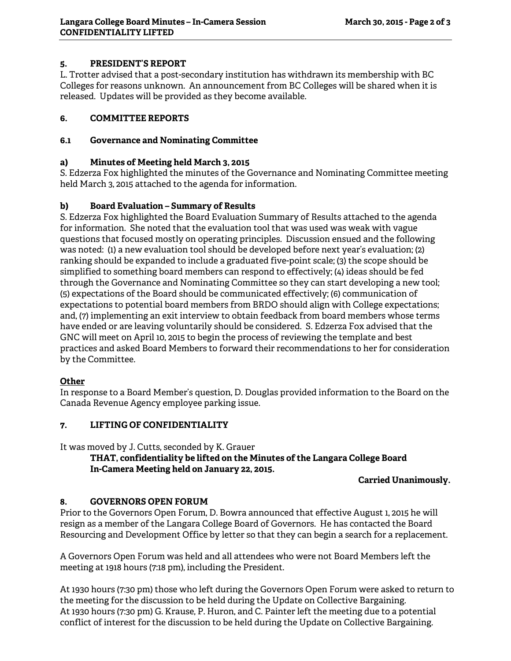## **5. PRESIDENT'S REPORT**

L. Trotter advised that a post-secondary institution has withdrawn its membership with BC Colleges for reasons unknown. An announcement from BC Colleges will be shared when it is released. Updates will be provided as they become available.

## **6. COMMITTEE REPORTS**

## **6.1 Governance and Nominating Committee**

## **a) Minutes of Meeting held March 3, 2015**

S. Edzerza Fox highlighted the minutes of the Governance and Nominating Committee meeting held March 3, 2015 attached to the agenda for information.

## **b) Board Evaluation – Summary of Results**

S. Edzerza Fox highlighted the Board Evaluation Summary of Results attached to the agenda for information. She noted that the evaluation tool that was used was weak with vague questions that focused mostly on operating principles. Discussion ensued and the following was noted: (1) a new evaluation tool should be developed before next year's evaluation; (2) ranking should be expanded to include a graduated five-point scale; (3) the scope should be simplified to something board members can respond to effectively; (4) ideas should be fed through the Governance and Nominating Committee so they can start developing a new tool; (5) expectations of the Board should be communicated effectively; (6) communication of expectations to potential board members from BRDO should align with College expectations; and, (7) implementing an exit interview to obtain feedback from board members whose terms have ended or are leaving voluntarily should be considered. S. Edzerza Fox advised that the GNC will meet on April 10, 2015 to begin the process of reviewing the template and best practices and asked Board Members to forward their recommendations to her for consideration by the Committee.

## **Other**

In response to a Board Member's question, D. Douglas provided information to the Board on the Canada Revenue Agency employee parking issue.

## **7. LIFTING OF CONFIDENTIALITY**

It was moved by J. Cutts, seconded by K. Grauer

## **THAT, confidentiality be lifted on the Minutes of the Langara College Board In-Camera Meeting held on January 22, 2015.**

## **Carried Unanimously.**

## **8. GOVERNORS OPEN FORUM**

Prior to the Governors Open Forum, D. Bowra announced that effective August 1, 2015 he will resign as a member of the Langara College Board of Governors. He has contacted the Board Resourcing and Development Office by letter so that they can begin a search for a replacement.

A Governors Open Forum was held and all attendees who were not Board Members left the meeting at 1918 hours (7:18 pm), including the President.

At 1930 hours (7:30 pm) those who left during the Governors Open Forum were asked to return to the meeting for the discussion to be held during the Update on Collective Bargaining. At 1930 hours (7:30 pm) G. Krause, P. Huron, and C. Painter left the meeting due to a potential conflict of interest for the discussion to be held during the Update on Collective Bargaining.